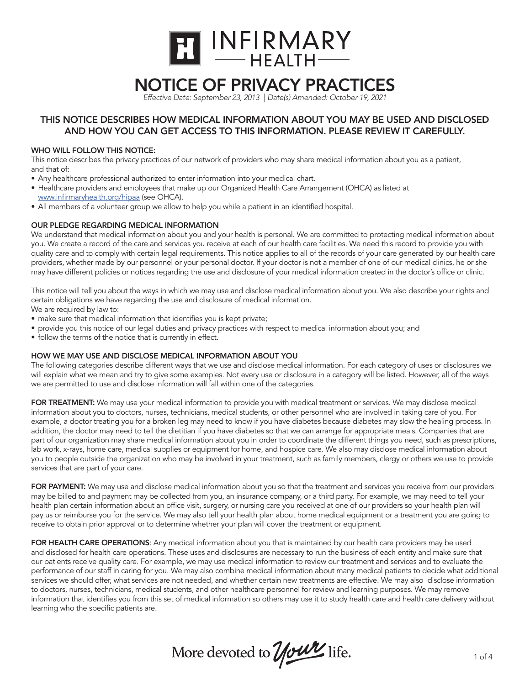

# NOTICE OF PRIVACY PRACTICES

*Effective Date: September 23, 2013 | Date(s) Amended: October 19, 2021*

## THIS NOTICE DESCRIBES HOW MEDICAL INFORMATION ABOUT YOU MAY BE USED AND DISCLOSED AND HOW YOU CAN GET ACCESS TO THIS INFORMATION. PLEASE REVIEW IT CAREFULLY.

## WHO WILL FOLLOW THIS NOTICE:

This notice describes the privacy practices of our network of providers who may share medical information about you as a patient, and that of:

- Any healthcare professional authorized to enter information into your medical chart.
- Healthcare providers and employees that make up our Organized Health Care Arrangement (OHCA) as listed at www.infirmaryhealth.org/hipaa (see OHCA).
- All members of a volunteer group we allow to help you while a patient in an identified hospital.

## OUR PLEDGE REGARDING MEDICAL INFORMATION

We understand that medical information about you and your health is personal. We are committed to protecting medical information about you. We create a record of the care and services you receive at each of our health care facilities. We need this record to provide you with quality care and to comply with certain legal requirements. This notice applies to all of the records of your care generated by our health care providers, whether made by our personnel or your personal doctor. If your doctor is not a member of one of our medical clinics, he or she may have different policies or notices regarding the use and disclosure of your medical information created in the doctor's office or clinic.

This notice will tell you about the ways in which we may use and disclose medical information about you. We also describe your rights and certain obligations we have regarding the use and disclosure of medical information.

We are required by law to:

- make sure that medical information that identifies you is kept private;
- provide you this notice of our legal duties and privacy practices with respect to medical information about you; and
- follow the terms of the notice that is currently in effect.

## HOW WE MAY USE AND DISCLOSE MEDICAL INFORMATION ABOUT YOU

The following categories describe different ways that we use and disclose medical information. For each category of uses or disclosures we will explain what we mean and try to give some examples. Not every use or disclosure in a category will be listed. However, all of the ways we are permitted to use and disclose information will fall within one of the categories.

FOR TREATMENT: We may use your medical information to provide you with medical treatment or services. We may disclose medical information about you to doctors, nurses, technicians, medical students, or other personnel who are involved in taking care of you. For example, a doctor treating you for a broken leg may need to know if you have diabetes because diabetes may slow the healing process. In addition, the doctor may need to tell the dietitian if you have diabetes so that we can arrange for appropriate meals. Companies that are part of our organization may share medical information about you in order to coordinate the different things you need, such as prescriptions, lab work, x-rays, home care, medical supplies or equipment for home, and hospice care. We also may disclose medical information about you to people outside the organization who may be involved in your treatment, such as family members, clergy or others we use to provide services that are part of your care.

FOR PAYMENT: We may use and disclose medical information about you so that the treatment and services you receive from our providers may be billed to and payment may be collected from you, an insurance company, or a third party. For example, we may need to tell your health plan certain information about an office visit, surgery, or nursing care you received at one of our providers so your health plan will pay us or reimburse you for the service. We may also tell your health plan about home medical equipment or a treatment you are going to receive to obtain prior approval or to determine whether your plan will cover the treatment or equipment.

FOR HEALTH CARE OPERATIONS: Any medical information about you that is maintained by our health care providers may be used and disclosed for health care operations. These uses and disclosures are necessary to run the business of each entity and make sure that our patients receive quality care. For example, we may use medical information to review our treatment and services and to evaluate the performance of our staff in caring for you. We may also combine medical information about many medical patients to decide what additional services we should offer, what services are not needed, and whether certain new treatments are effective. We may also disclose information to doctors, nurses, technicians, medical students, and other healthcare personnel for review and learning purposes. We may remove information that identifies you from this set of medical information so others may use it to study health care and health care delivery without learning who the specific patients are.

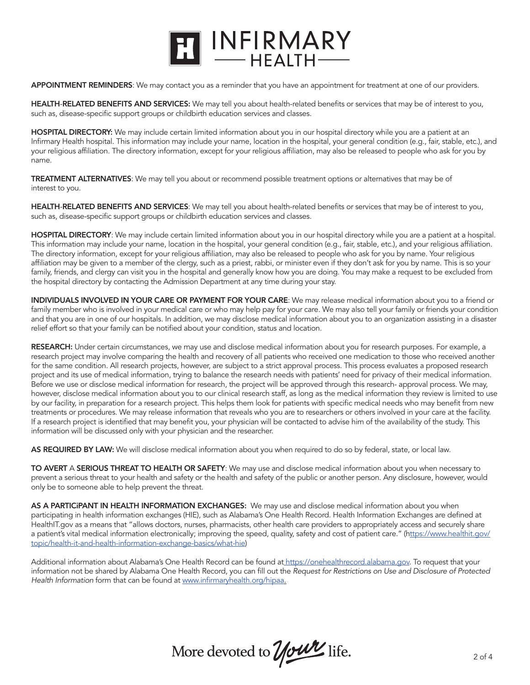

APPOINTMENT REMINDERS: We may contact you as a reminder that you have an appointment for treatment at one of our providers.

HEALTH-RELATED BENEFITS AND SERVICES: We may tell you about health-related benefits or services that may be of interest to you, such as, disease-specific support groups or childbirth education services and classes.

HOSPITAL DIRECTORY: We may include certain limited information about you in our hospital directory while you are a patient at an Infirmary Health hospital. This information may include your name, location in the hospital, your general condition (e.g., fair, stable, etc.), and your religious affiliation. The directory information, except for your religious affiliation, may also be released to people who ask for you by name.

TREATMENT ALTERNATIVES: We may tell you about or recommend possible treatment options or alternatives that may be of interest to you.

HEALTH-RELATED BENEFITS AND SERVICES: We may tell you about health-related benefits or services that may be of interest to you, such as, disease-specific support groups or childbirth education services and classes.

HOSPITAL DIRECTORY: We may include certain limited information about you in our hospital directory while you are a patient at a hospital. This information may include your name, location in the hospital, your general condition (e.g., fair, stable, etc.), and your religious affiliation. The directory information, except for your religious affiliation, may also be released to people who ask for you by name. Your religious affiliation may be given to a member of the clergy, such as a priest, rabbi, or minister even if they don't ask for you by name. This is so your family, friends, and clergy can visit you in the hospital and generally know how you are doing. You may make a request to be excluded from the hospital directory by contacting the Admission Department at any time during your stay.

INDIVIDUALS INVOLVED IN YOUR CARE OR PAYMENT FOR YOUR CARE: We may release medical information about you to a friend or family member who is involved in your medical care or who may help pay for your care. We may also tell your family or friends your condition and that you are in one of our hospitals. In addition, we may disclose medical information about you to an organization assisting in a disaster relief effort so that your family can be notified about your condition, status and location.

RESEARCH: Under certain circumstances, we may use and disclose medical information about you for research purposes. For example, a research project may involve comparing the health and recovery of all patients who received one medication to those who received another for the same condition. All research projects, however, are subject to a strict approval process. This process evaluates a proposed research project and its use of medical information, trying to balance the research needs with patients' need for privacy of their medical information. Before we use or disclose medical information for research, the project will be approved through this research- approval process. We may, however, disclose medical information about you to our clinical research staff, as long as the medical information they review is limited to use by our facility, in preparation for a research project. This helps them look for patients with specific medical needs who may benefit from new treatments or procedures. We may release information that reveals who you are to researchers or others involved in your care at the facility. If a research project is identified that may benefit you, your physician will be contacted to advise him of the availability of the study. This information will be discussed only with your physician and the researcher.

AS REQUIRED BY LAW: We will disclose medical information about you when required to do so by federal, state, or local law.

TO AVERT A SERIOUS THREAT TO HEALTH OR SAFETY: We may use and disclose medical information about you when necessary to prevent a serious threat to your health and safety or the health and safety of the public or another person. Any disclosure, however, would only be to someone able to help prevent the threat.

AS A PARTICIPANT IN HEALTH INFORMATION EXCHANGES: We may use and disclose medical information about you when participating in health information exchanges (HIE), such as Alabama's One Health Record. Health Information Exchanges are defined at HealthIT.gov as a means that "allows doctors, nurses, pharmacists, other health care providers to appropriately access and securely share a patient's vital medical information electronically; improving the speed, quality, safety and cost of patient care." (https://www.healthit.gov/ topic/health-it-and-health-information-exchange-basics/what-hie)

Additional information about Alabama's One Health Record can be found at https://onehealthrecord.alabama.gov. To request that your information not be shared by Alabama One Health Record, you can fill out the *Request for Restrictions on Use and Disclosure of Protected Health Information* form that can be found at www.infirmaryhealth.org/hipaa.

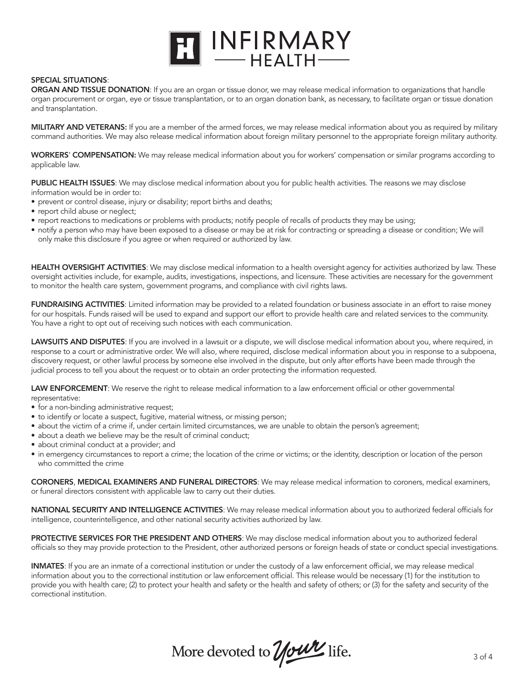

#### SPECIAL SITUATIONS:

ORGAN AND TISSUE DONATION: If you are an organ or tissue donor, we may release medical information to organizations that handle organ procurement or organ, eye or tissue transplantation, or to an organ donation bank, as necessary, to facilitate organ or tissue donation and transplantation.

MILITARY AND VETERANS: If you are a member of the armed forces, we may release medical information about you as required by military command authorities. We may also release medical information about foreign military personnel to the appropriate foreign military authority.

WORKERS' COMPENSATION: We may release medical information about you for workers' compensation or similar programs according to applicable law.

PUBLIC HEALTH ISSUES: We may disclose medical information about you for public health activities. The reasons we may disclose information would be in order to:

- prevent or control disease, injury or disability; report births and deaths;
- report child abuse or neglect;
- report reactions to medications or problems with products; notify people of recalls of products they may be using;
- notify a person who may have been exposed to a disease or may be at risk for contracting or spreading a disease or condition; We will only make this disclosure if you agree or when required or authorized by law.

HEALTH OVERSIGHT ACTIVITIES: We may disclose medical information to a health oversight agency for activities authorized by law. These oversight activities include, for example, audits, investigations, inspections, and licensure. These activities are necessary for the government to monitor the health care system, government programs, and compliance with civil rights laws.

FUNDRAISING ACTIVITIES: Limited information may be provided to a related foundation or business associate in an effort to raise money for our hospitals. Funds raised will be used to expand and support our effort to provide health care and related services to the community. You have a right to opt out of receiving such notices with each communication.

LAWSUITS AND DISPUTES: If you are involved in a lawsuit or a dispute, we will disclose medical information about you, where required, in response to a court or administrative order. We will also, where required, disclose medical information about you in response to a subpoena, discovery request, or other lawful process by someone else involved in the dispute, but only after efforts have been made through the judicial process to tell you about the request or to obtain an order protecting the information requested.

LAW ENFORCEMENT: We reserve the right to release medical information to a law enforcement official or other governmental

representative:

- for a non-binding administrative request;
- to identify or locate a suspect, fugitive, material witness, or missing person;
- about the victim of a crime if, under certain limited circumstances, we are unable to obtain the person's agreement;
- about a death we believe may be the result of criminal conduct;
- about criminal conduct at a provider; and
- in emergency circumstances to report a crime; the location of the crime or victims; or the identity, description or location of the person who committed the crime

CORONERS, MEDICAL EXAMINERS AND FUNERAL DIRECTORS: We may release medical information to coroners, medical examiners, or funeral directors consistent with applicable law to carry out their duties.

NATIONAL SECURITY AND INTELLIGENCE ACTIVITIES: We may release medical information about you to authorized federal officials for intelligence, counterintelligence, and other national security activities authorized by law.

PROTECTIVE SERVICES FOR THE PRESIDENT AND OTHERS: We may disclose medical information about you to authorized federal officials so they may provide protection to the President, other authorized persons or foreign heads of state or conduct special investigations.

INMATES: If you are an inmate of a correctional institution or under the custody of a law enforcement official, we may release medical information about you to the correctional institution or law enforcement official. This release would be necessary (1) for the institution to provide you with health care; (2) to protect your health and safety or the health and safety of others; or (3) for the safety and security of the correctional institution.